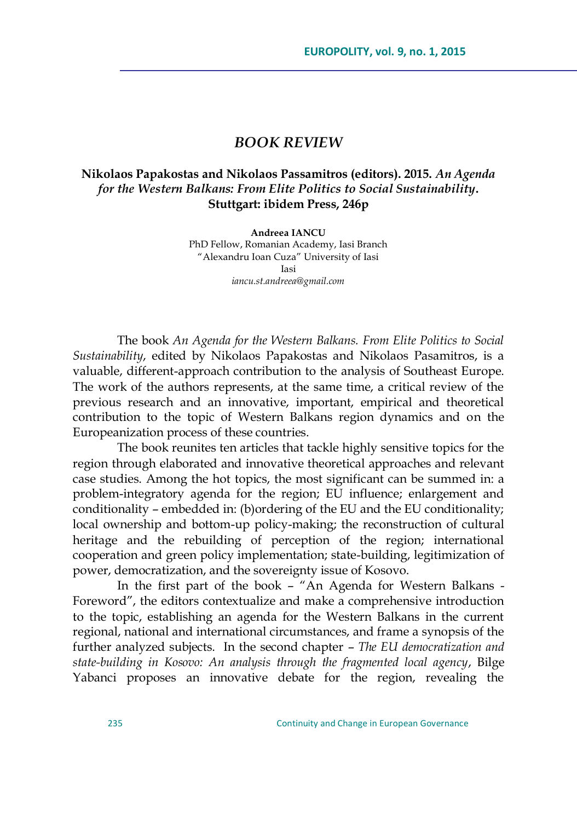## *BOOK REVIEW*

## **Nikolaos Papakostas and Nikolaos Passamitros (editors). 2015.** *An Agenda for the Western Balkans: From Elite Politics to Social Sustainability***. Stuttgart: ibidem Press, 246p**

**Andreea IANCU** PhD Fellow, Romanian Academy, Iasi Branch "Alexandru Ioan Cuza" University of Iasi Iasi *iancu.st.andreea@gmail.com*

The book *An Agenda for the Western Balkans. From Elite Politics to Social Sustainability*, edited by Nikolaos Papakostas and Nikolaos Pasamitros, is a valuable, different-approach contribution to the analysis of Southeast Europe. The work of the authors represents, at the same time, a critical review of the previous research and an innovative, important, empirical and theoretical contribution to the topic of Western Balkans region dynamics and on the Europeanization process of these countries.

The book reunites ten articles that tackle highly sensitive topics for the region through elaborated and innovative theoretical approaches and relevant case studies. Among the hot topics, the most significant can be summed in: a problem-integratory agenda for the region; EU influence; enlargement and conditionality – embedded in: (b)ordering of the EU and the EU conditionality; local ownership and bottom-up policy-making; the reconstruction of cultural heritage and the rebuilding of perception of the region; international cooperation and green policy implementation; state-building, legitimization of power, democratization, and the sovereignty issue of Kosovo.

In the first part of the book - "An Agenda for Western Balkans -Foreword", the editors contextualize and make a comprehensive introduction to the topic, establishing an agenda for the Western Balkans in the current regional, national and international circumstances, and frame a synopsis of the further analyzed subjects. In the second chapter – *The EU democratization and state-building in Kosovo: An analysis through the fragmented local agency*, Bilge Yabanci proposes an innovative debate for the region, revealing the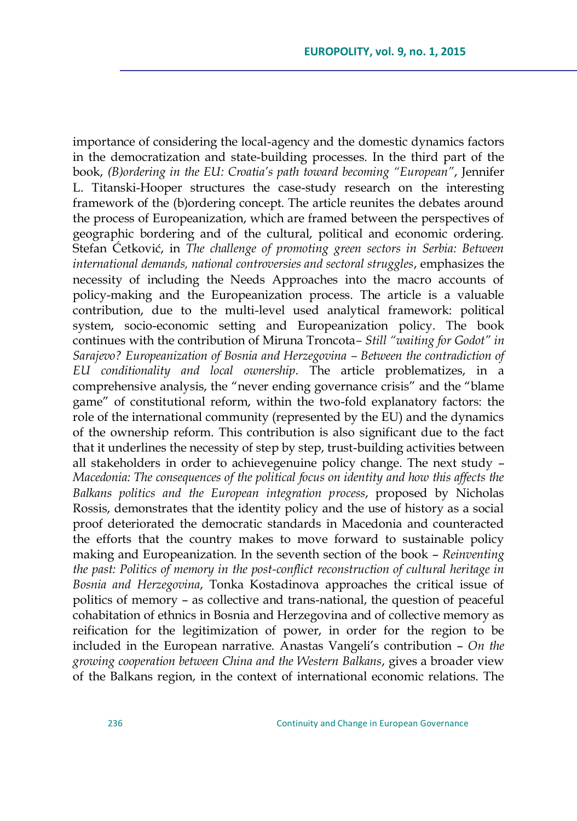importance of considering the local-agency and the domestic dynamics factors in the democratization and state-building processes. In the third part of the book, *(B)ordering in the EU: Croatia"s path toward becoming "European"*, Jennifer L. Titanski-Hooper structures the case-study research on the interesting framework of the (b)ordering concept. The article reunites the debates around the process of Europeanization, which are framed between the perspectives of geographic bordering and of the cultural, political and economic ordering. Stefan Šetkoviš, in *The challenge of promoting green sectors in Serbia: Between international demands, national controversies and sectoral struggles*, emphasizes the necessity of including the Needs Approaches into the macro accounts of policy-making and the Europeanization process. The article is a valuable contribution, due to the multi-level used analytical framework: political system, socio-economic setting and Europeanization policy. The book continues with the contribution of Miruna Troncota*– Still "waiting for Godot" in Sarajevo? Europeanization of Bosnia and Herzegovina – Between the contradiction of EU conditionality and local ownership*. The article problematizes, in a comprehensive analysis, the "never ending governance crisis" and the "blame game" of constitutional reform, within the two-fold explanatory factors: the role of the international community (represented by the EU) and the dynamics of the ownership reform. This contribution is also significant due to the fact that it underlines the necessity of step by step, trust-building activities between all stakeholders in order to achievegenuine policy change. The next study – *Macedonia: The consequences of the political focus on identity and how this affects the Balkans politics and the European integration process*, proposed by Nicholas Rossis, demonstrates that the identity policy and the use of history as a social proof deteriorated the democratic standards in Macedonia and counteracted the efforts that the country makes to move forward to sustainable policy making and Europeanization. In the seventh section of the book – *Reinventing the past: Politics of memory in the post-conflict reconstruction of cultural heritage in Bosnia and Herzegovina*, Tonka Kostadinova approaches the critical issue of politics of memory – as collective and trans-national, the question of peaceful cohabitation of ethnics in Bosnia and Herzegovina and of collective memory as reification for the legitimization of power, in order for the region to be included in the European narrative. Anastas Vangeli's contribution – *On the growing cooperation between China and the Western Balkans*, gives a broader view of the Balkans region, in the context of international economic relations. The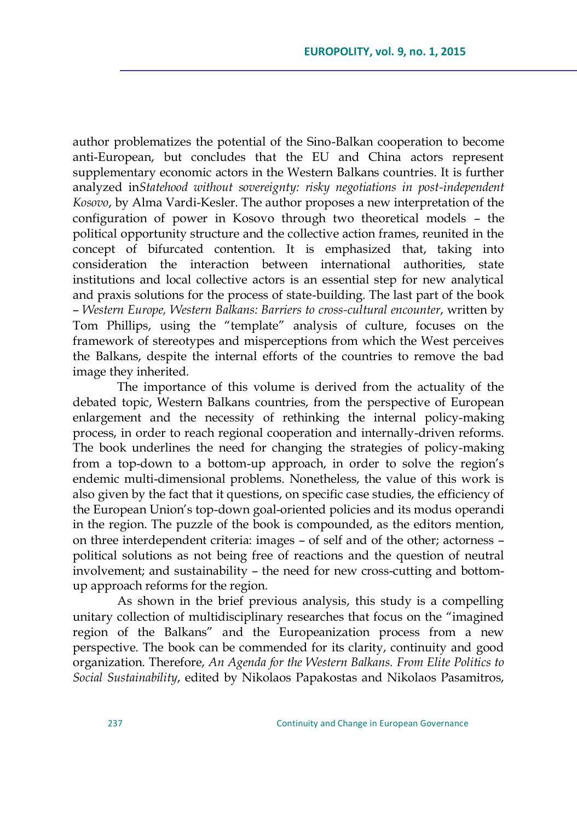author problematizes the potential of the Sino-Balkan cooperation to become anti-European, but concludes that the EU and China actors represent supplementary economic actors in the Western Balkans countries. It is further analyzed in*Statehood without sovereignty: risky negotiations in post-independent Kosovo*, by Alma Vardi-Kesler. The author proposes a new interpretation of the configuration of power in Kosovo through two theoretical models – the political opportunity structure and the collective action frames, reunited in the concept of bifurcated contention. It is emphasized that, taking into consideration the interaction between international authorities, state institutions and local collective actors is an essential step for new analytical and praxis solutions for the process of state-building. The last part of the book – *Western Europe, Western Balkans: Barriers to cross-cultural encounter*, written by Tom Phillips, using the "template" analysis of culture, focuses on the framework of stereotypes and misperceptions from which the West perceives the Balkans, despite the internal efforts of the countries to remove the bad image they inherited.

The importance of this volume is derived from the actuality of the debated topic, Western Balkans countries, from the perspective of European enlargement and the necessity of rethinking the internal policy-making process, in order to reach regional cooperation and internally-driven reforms. The book underlines the need for changing the strategies of policy-making from a top-down to a bottom-up approach, in order to solve the region's endemic multi-dimensional problems. Nonetheless, the value of this work is also given by the fact that it questions, on specific case studies, the efficiency of the European Union's top-down goal-oriented policies and its modus operandi in the region. The puzzle of the book is compounded, as the editors mention, on three interdependent criteria: images – of self and of the other; actorness – political solutions as not being free of reactions and the question of neutral involvement; and sustainability – the need for new cross-cutting and bottomup approach reforms for the region.

As shown in the brief previous analysis, this study is a compelling unitary collection of multidisciplinary researches that focus on the "imagined region of the Balkans" and the Europeanization process from a new perspective. The book can be commended for its clarity, continuity and good organization. Therefore, *An Agenda for the Western Balkans. From Elite Politics to Social Sustainability*, edited by Nikolaos Papakostas and Nikolaos Pasamitros,